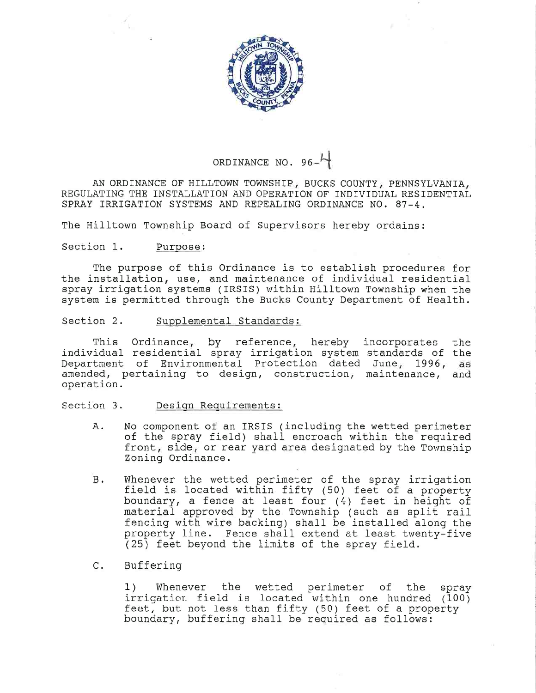

# ORDINANCE NO.  $96-$

AN ORDINANCE OF HILLTOWN TOWNSHIP, BUCKS COUNTY, PENNSYLVANIA, REGULATING THE INSTALLATION AND OPERATION OF INDIVIDUAL RESIDENTIAL SPRAY IRRIGATION SYSTEMS AND REPEALING ORDINANCE N0. 87-4.

The Hilltown Township Board of Supervisors hereby ordains:

#### Section 1. Purpose:

The purpose of this Ordinance is to establish procedures for the installation, use, and maintenance of individual residential spray irrigation systems (IRSIS) within Hilltown Township when the system is permitted through the Bucks County Department of Health.

#### Section 2. Supplemental Standards:

This Ordinance, by reference, hereby incorporates the individual residential spray irrigation system standards of the Department of Environmental Protection dated June, 1996, as amended, pertaining to design, construction, maintenance, and operation.

## Section 3. Design Requirements:

- A. No component of an IRSIS (including the wetted perimeter of the spray field) shall encroach within the required front, side, or rear yard area designated by the Township Zoning Ordinance.
- B. Whenever the wetted perimeter of the spray irrig field is located within fifty (50) feet of a prop boundary, a fence at least four  $(4)$  feet in height of material approved by the Township (such as split rail fencing with wire backing) shall be installed along the property line. Fence shall extend at least twenty-five (25) feet beyond the limits of the spray field.
- C. Buffering

1) Whenever the wetted perimeter of the spray  $irriqation$  field is located within one hundred (100) feet, but not less than fifty (50) feet of a property boundary, buffering shall be required as follows: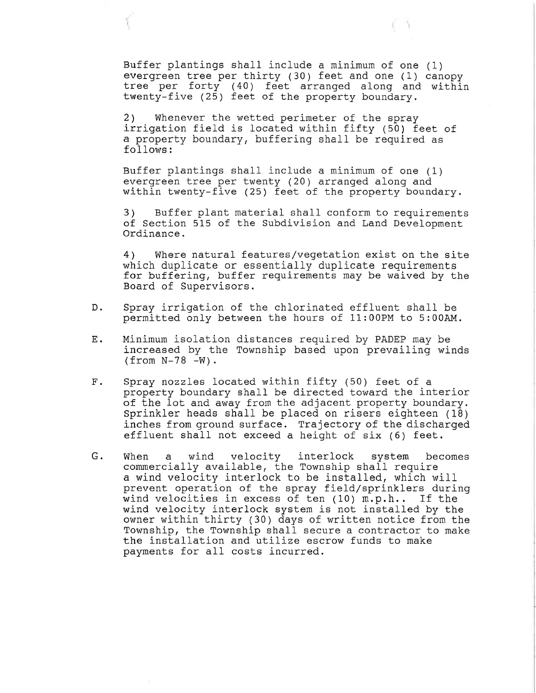${\tt Butter}$  plantings shall include a minimum of one () evergreen tree per thirty (30) feet and one (1) canc tree per forty (40) feet arranged along an twenty-five (25) feet of the property bound wit

2) Whenever the wetted perimeter of the spray irrigation field is located within fifty (50) feet of a property boundary, buffering shall be required as follows :

Buffer plantings shall include a minimum of one (1) evergreen tree per twenty (20) arranged along and within twenty-five  $(25)$  feet of the property boundary.

3) Buffer plant material shall conform to requirements of Section 515 of the Subdivision and Land Development Ordinance.

4) Where natural features/vegetation exist on the site which duplicate or essentially duplicate requirements for buffering, buffer requirements may be waived by the Board of Supervisors.

- D. Spray irrigation of the chlorinated effluent shall be permitted only between the hours of 11:OOPM to 5:00AM.
- Ε. Minimum isolation distances required by PADEP may be increased by the Township based upon prevailing winds  $(from N-78 -W)$ .
- $F$ . Spray nozzles located within fifty (50) feet of a property boundary shall be directed toward the interior of the lot and away from the adjacent property boundary. Sprinkler heads shall be placed on risers eighteen (18) inches from ground surface. Trajectory of the discharged effluent shall not exceed a height of six (6) feet.
- G. When a wind velocity interlock system becomes commercially available, the Township shall require a wind velocity interlock to be installed, which will prevent operation of the spray field/sprinklers during wind velocities in excess of ten (10) m.p.h.. If the wjnd velocity interlock system is not installed by the owner within thirty (30) days of written notice from the Township, the Township shall secure a contractor to make the installation and utilize escrow funds to make payments for all costs incurred.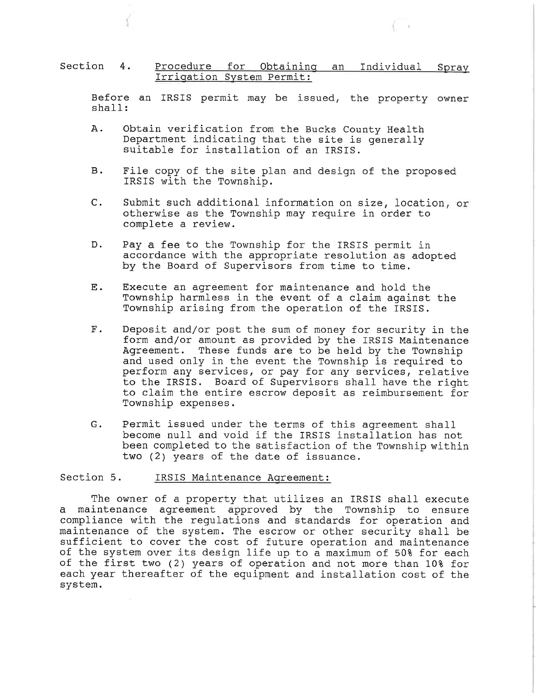#### Section 4. <u>Irriqation System Perm</u> Procedure for Obtaining an Individual Spray

Before an IRSIS permit may be issued, the property owner shall:

- A. Obtain verification from the Bucks County Health Department indicating that the site is generally suitable for installation of an IRSIS.
- B. File copy of the site plan and design of the proposed IRSIS with the Township.
- C. Submit such additional information on size, location, or otherwise as the Township may require in order to complete a review.
- D. Pay a fee to the Township for the IRSIS permit in accordance with the appropriate resolution as adopted by the Board of Supervisors from time to time.
- E. Execute an agreement for maintenance and hold the Township harmless in the event of a claim against the Township arising from the operation of the IRSIS.
- F. Deposit and/or post the sum of money for security in the form and/or amount as provided by the IRSIS Maintenance<br>Agreement. These funds are to be held by the Township These funds are to be held by the Township and used only in the event the Township is required to perform any services, or pay for any services, relative to the IRSIS. Board of Supervisors shall have the right to claim the entire escrow deposit as reimbursement for Township expenses.
- G. Permit issued under the terms of this agreement shall become null and void if the IRSIS installation has not been completed to the satisfaction of the Township within two (2) years of the date of issuance.

# Section 5. IRSIS Maintenance Aqreement:

The owner of a property that utilizes an IRSIS shall execute a maintenance agreement approved by the Township to ensure compliance with the regulations and standards for operation and maintenance of the system. The escrow or other security shall be sufficient to cover the cost of future operation and maintenance of the system over its design life up to a maximum of 50% for each of the first two  $(2)$  years of operation and not more than  $10\$  for each year thereafter of the equipment and installation cost of the system.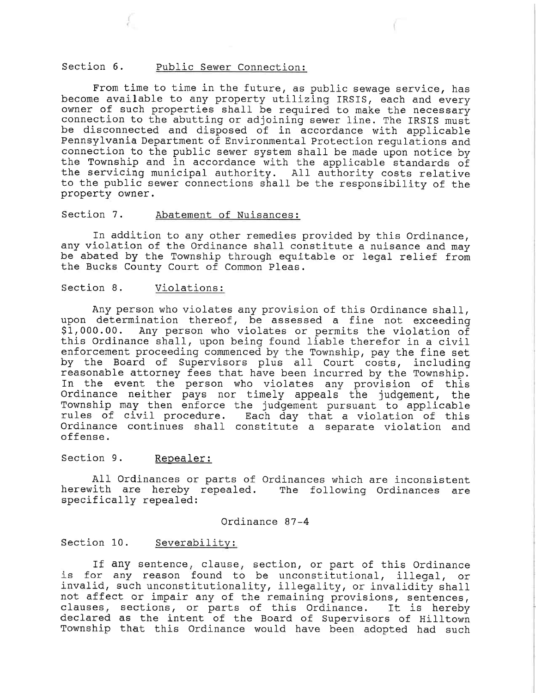## Section 6. Public Sewer Connection:

From time to time in the future, as public sewage service, has become available to any property utilizing IRSIS, each and every owner of such properties shall be required to make the necessary connection to the abutting or adjoining sewer line. The IRSIS must be disconnected and disposed of in accordance with applicable Pennsylvania Department of Environmental Protection regulations and connection to the public sewer system shall be made upon notice by the Township and in accordance with the applicable standards of the servicing municipal authority. All authority costs relative to the public sewer connections shall be the responsibility of the property owner.

#### Section 7. Abatement of Nuisances:

In addition to any other remedies provided by this Ordinance, any violation of the Ordinance shall constitute a nuisance and may be abated by the Township through equitable or legal relief from the Bucks County Court of Common Pleas.

## Section 8. Violations:

Any person who violates any provision of this Ordinance shall, upon determination thereof, be assessed a fine not exceeding Sl,000.00. Any person who violates or permits the violation of this Ordinance shall, upon being found liable therefor in a ci enforcement proceeding commenced by the Township, pay the fine  $\mathop{\rm se}\nolimits$ by the Board of Supervisors plus all Court costs, including reasonable attorney fees that have been incurred by the Township. In the event the person who violates any provision of this Ordinance neither pays nor timely appeals the judgement, the Township may then enforce the judgement pursuant to applicable rules of civil procedure. Each day that a violation of this Ordinance continues shall constitute a separate violation and offense.

## Section 9. Repealer:

All Ordinances or parts of Ordinances which are inconsistent herewith are hereby repealed. The following Ordinances ar specifically repealed:

#### Ordinance 87-4

#### Section 10. Severability:

If any sentence, clause, section, or part of this Ordinance is for any reason found to be unconstitutional, illegal, or invalid, such unconstitutionality, illegality, or invalidity shall not affect or impair any of the remaining provisions, sentences, clauses, sections, or parts of this Ordinance. It is hereby declared as the intent of the Board of Supervisors of Hilltown Township that this Ordinance would have been adopted had such